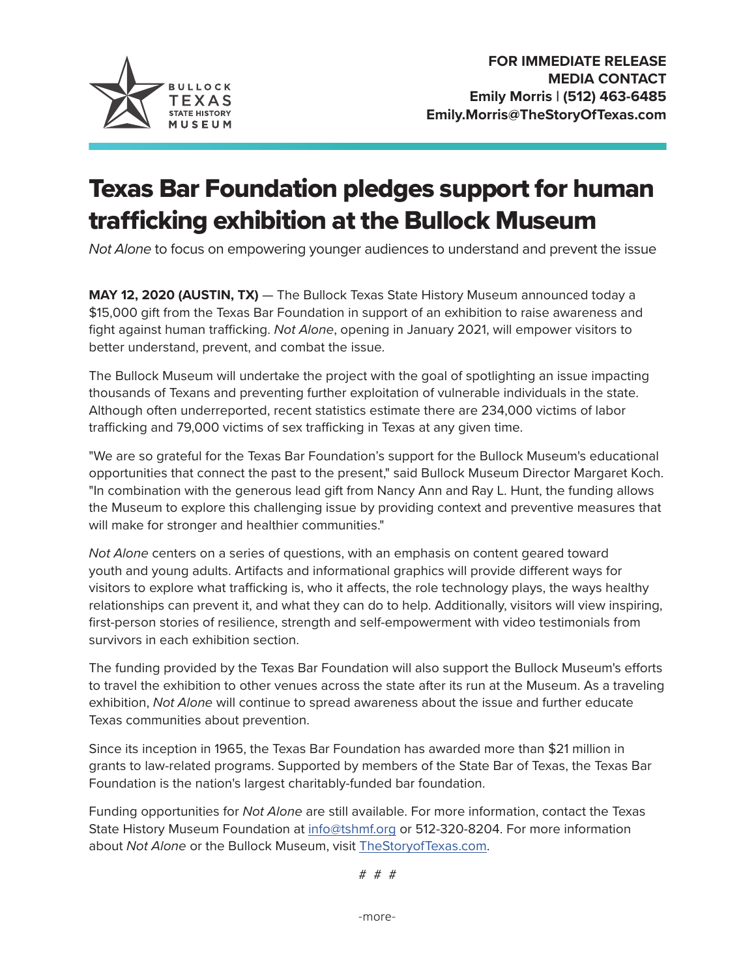

## Texas Bar Foundation pledges support for human trafficking exhibition at the Bullock Museum

*Not Alone* to focus on empowering younger audiences to understand and prevent the issue

**MAY 12, 2020 (AUSTIN, TX)** — The Bullock Texas State History Museum announced today a \$15,000 gift from the Texas Bar Foundation in support of an exhibition to raise awareness and fight against human trafficking. *Not Alone*, opening in January 2021, will empower visitors to better understand, prevent, and combat the issue.

The Bullock Museum will undertake the project with the goal of spotlighting an issue impacting thousands of Texans and preventing further exploitation of vulnerable individuals in the state. Although often underreported, recent statistics estimate there are 234,000 victims of labor trafficking and 79,000 victims of sex trafficking in Texas at any given time.

"We are so grateful for the Texas Bar Foundation's support for the Bullock Museum's educational opportunities that connect the past to the present," said Bullock Museum Director Margaret Koch. "In combination with the generous lead gift from Nancy Ann and Ray L. Hunt, the funding allows the Museum to explore this challenging issue by providing context and preventive measures that will make for stronger and healthier communities."

*Not Alone* centers on a series of questions, with an emphasis on content geared toward youth and young adults. Artifacts and informational graphics will provide different ways for visitors to explore what trafficking is, who it affects, the role technology plays, the ways healthy relationships can prevent it, and what they can do to help. Additionally, visitors will view inspiring, first-person stories of resilience, strength and self-empowerment with video testimonials from survivors in each exhibition section.

The funding provided by the Texas Bar Foundation will also support the Bullock Museum's efforts to travel the exhibition to other venues across the state after its run at the Museum. As a traveling exhibition, *Not Alone* will continue to spread awareness about the issue and further educate Texas communities about prevention.

Since its inception in 1965, the Texas Bar Foundation has awarded more than \$21 million in grants to law-related programs. Supported by members of the State Bar of Texas, the Texas Bar Foundation is the nation's largest charitably-funded bar foundation.

Funding opportunities for *Not Alone* are still available. For more information, contact the Texas State History Museum Foundation at [info@tshmf.org](mailto:info@tshmf.org) or 512-320-8204. For more information about *Not Alone* or the Bullock Museum, visit [TheStoryofTexas.com](http://TheStoryofTexas.com).

# # #